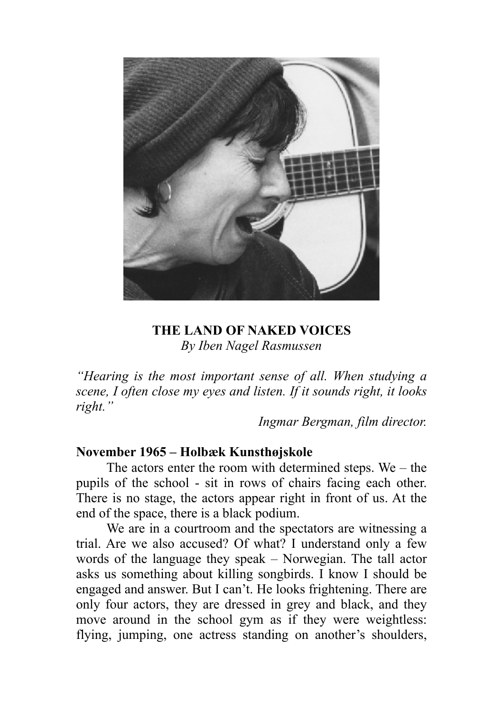

### **THE LAND OF NAKED VOICES**  *By Iben Nagel Rasmussen*

*"Hearing is the most important sense of all. When studying a scene, I often close my eyes and listen. If it sounds right, it looks right."* 

*Ingmar Bergman, film director.* 

#### **November 1965 – Holbæk Kunsthøjskole**

The actors enter the room with determined steps. We  $-$  the pupils of the school - sit in rows of chairs facing each other. There is no stage, the actors appear right in front of us. At the end of the space, there is a black podium.

We are in a courtroom and the spectators are witnessing a trial. Are we also accused? Of what? I understand only a few words of the language they speak – Norwegian. The tall actor asks us something about killing songbirds. I know I should be engaged and answer. But I can't. He looks frightening. There are only four actors, they are dressed in grey and black, and they move around in the school gym as if they were weightless: flying, jumping, one actress standing on another's shoulders,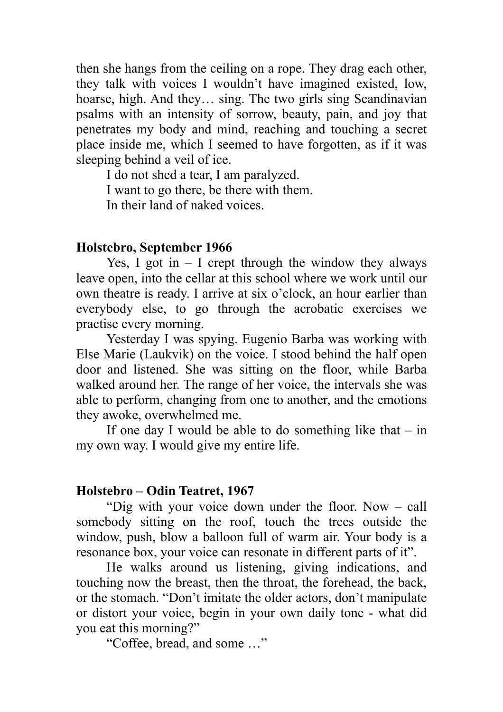then she hangs from the ceiling on a rope. They drag each other, they talk with voices I wouldn't have imagined existed, low, hoarse, high. And they... sing. The two girls sing Scandinavian psalms with an intensity of sorrow, beauty, pain, and joy that penetrates my body and mind, reaching and touching a secret place inside me, which I seemed to have forgotten, as if it was sleeping behind a veil of ice.

I do not shed a tear, I am paralyzed.

I want to go there, be there with them.

In their land of naked voices.

# **Holstebro, September 1966**

Yes, I got in  $-$  I crept through the window they always leave open, into the cellar at this school where we work until our own theatre is ready. I arrive at six o'clock, an hour earlier than everybody else, to go through the acrobatic exercises we practise every morning.

Yesterday I was spying. Eugenio Barba was working with Else Marie (Laukvik) on the voice. I stood behind the half open door and listened. She was sitting on the floor, while Barba walked around her. The range of her voice, the intervals she was able to perform, changing from one to another, and the emotions they awoke, overwhelmed me.

If one day I would be able to do something like that  $-$  in my own way. I would give my entire life.

## **Holstebro – Odin Teatret, 1967**

"Dig with your voice down under the floor. Now – call somebody sitting on the roof, touch the trees outside the window, push, blow a balloon full of warm air. Your body is a resonance box, your voice can resonate in different parts of it".

He walks around us listening, giving indications, and touching now the breast, then the throat, the forehead, the back, or the stomach. "Don't imitate the older actors, don't manipulate or distort your voice, begin in your own daily tone - what did you eat this morning?"

"Coffee, bread, and some …"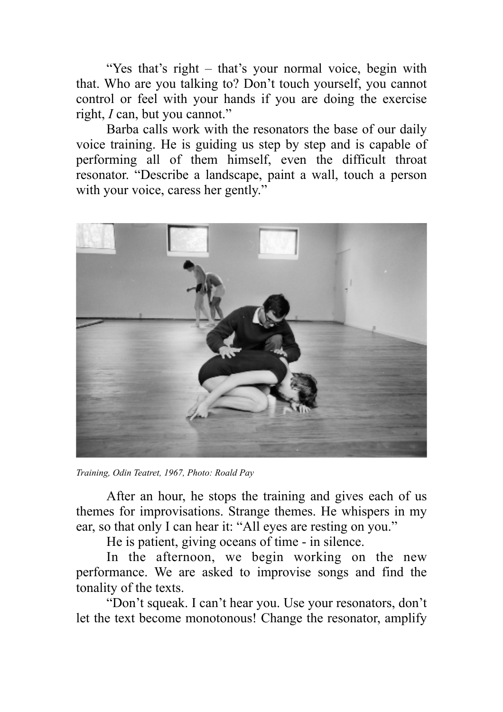"Yes that's right – that's your normal voice, begin with that. Who are you talking to? Don't touch yourself, you cannot control or feel with your hands if you are doing the exercise right, *I* can, but you cannot."

Barba calls work with the resonators the base of our daily voice training. He is guiding us step by step and is capable of performing all of them himself, even the difficult throat resonator. "Describe a landscape, paint a wall, touch a person with your voice, caress her gently."



*Training, Odin Teatret, 1967, Photo: Roald Pay* 

After an hour, he stops the training and gives each of us themes for improvisations. Strange themes. He whispers in my ear, so that only I can hear it: "All eyes are resting on you."

He is patient, giving oceans of time - in silence.

In the afternoon, we begin working on the new performance. We are asked to improvise songs and find the tonality of the texts.

"Don't squeak. I can't hear you. Use your resonators, don't let the text become monotonous! Change the resonator, amplify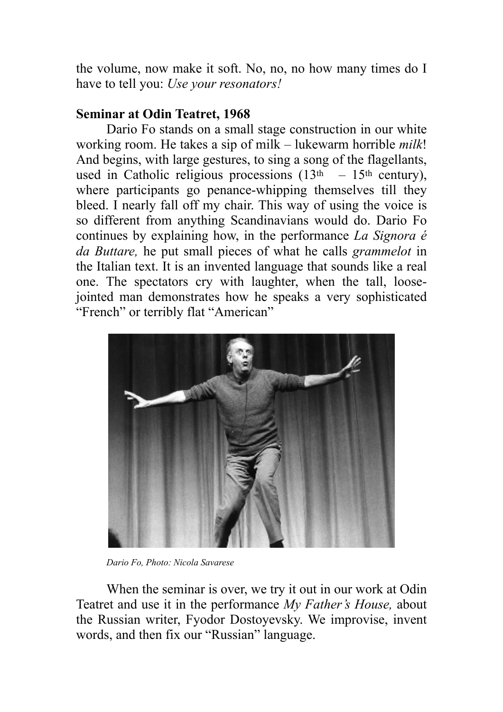the volume, now make it soft. No, no, no how many times do I have to tell you: *Use your resonators!* 

## **Seminar at Odin Teatret, 1968**

Dario Fo stands on a small stage construction in our white working room. He takes a sip of milk – lukewarm horrible *milk*! And begins, with large gestures, to sing a song of the flagellants, used in Catholic religious processions  $(13<sup>th</sup> - 15<sup>th</sup>$  century), where participants go penance-whipping themselves till they bleed. I nearly fall off my chair. This way of using the voice is so different from anything Scandinavians would do. Dario Fo continues by explaining how, in the performance *La Signora é da Buttare,* he put small pieces of what he calls *grammelot* in the Italian text. It is an invented language that sounds like a real one. The spectators cry with laughter, when the tall, loosejointed man demonstrates how he speaks a very sophisticated "French" or terribly flat "American"



*Dario Fo, Photo: Nicola Savarese* 

When the seminar is over, we try it out in our work at Odin Teatret and use it in the performance *My Father's House,* about the Russian writer, Fyodor Dostoyevsky. We improvise, invent words, and then fix our "Russian" language.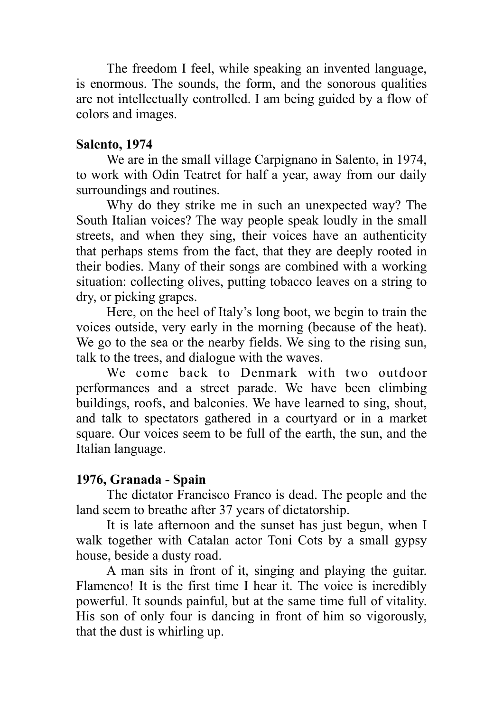The freedom I feel, while speaking an invented language, is enormous. The sounds, the form, and the sonorous qualities are not intellectually controlled. I am being guided by a flow of colors and images.

### **Salento, 1974**

We are in the small village Carpignano in Salento, in 1974, to work with Odin Teatret for half a year, away from our daily surroundings and routines.

Why do they strike me in such an unexpected way? The South Italian voices? The way people speak loudly in the small streets, and when they sing, their voices have an authenticity that perhaps stems from the fact, that they are deeply rooted in their bodies. Many of their songs are combined with a working situation: collecting olives, putting tobacco leaves on a string to dry, or picking grapes.

Here, on the heel of Italy's long boot, we begin to train the voices outside, very early in the morning (because of the heat). We go to the sea or the nearby fields. We sing to the rising sun, talk to the trees, and dialogue with the waves.

We come back to Denmark with two outdoor performances and a street parade. We have been climbing buildings, roofs, and balconies. We have learned to sing, shout, and talk to spectators gathered in a courtyard or in a market square. Our voices seem to be full of the earth, the sun, and the Italian language.

## **1976, Granada - Spain**

The dictator Francisco Franco is dead. The people and the land seem to breathe after 37 years of dictatorship.

It is late afternoon and the sunset has just begun, when I walk together with Catalan actor Toni Cots by a small gypsy house, beside a dusty road.

A man sits in front of it, singing and playing the guitar. Flamenco! It is the first time I hear it. The voice is incredibly powerful. It sounds painful, but at the same time full of vitality. His son of only four is dancing in front of him so vigorously, that the dust is whirling up.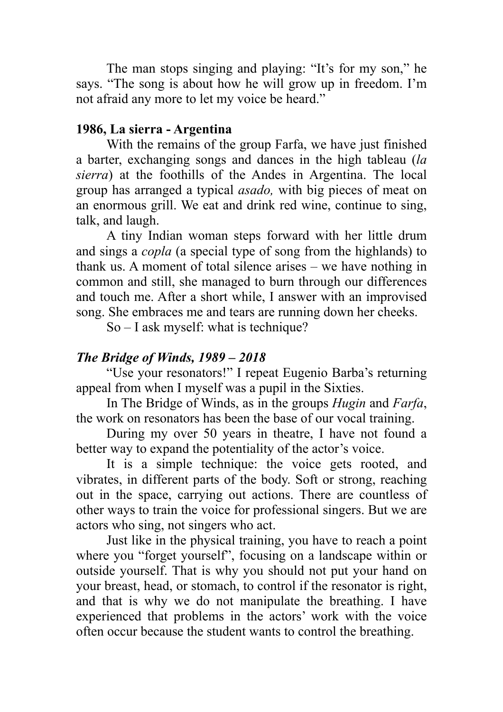The man stops singing and playing: "It's for my son," he says. "The song is about how he will grow up in freedom. I'm not afraid any more to let my voice be heard."

#### **1986, La sierra - Argentina**

With the remains of the group Farfa, we have just finished a barter, exchanging songs and dances in the high tableau (*la sierra*) at the foothills of the Andes in Argentina. The local group has arranged a typical *asado,* with big pieces of meat on an enormous grill. We eat and drink red wine, continue to sing, talk, and laugh.

 A tiny Indian woman steps forward with her little drum and sings a *copla* (a special type of song from the highlands) to thank us. A moment of total silence arises – we have nothing in common and still, she managed to burn through our differences and touch me. After a short while, I answer with an improvised song. She embraces me and tears are running down her cheeks.

So – I ask myself: what is technique?

#### *The Bridge of Winds, 1989 – 2018*

 "Use your resonators!" I repeat Eugenio Barba's returning appeal from when I myself was a pupil in the Sixties.

In The Bridge of Winds, as in the groups *Hugin* and *Farfa*, the work on resonators has been the base of our vocal training.

During my over 50 years in theatre, I have not found a better way to expand the potentiality of the actor's voice.

It is a simple technique: the voice gets rooted, and vibrates, in different parts of the body. Soft or strong, reaching out in the space, carrying out actions. There are countless of other ways to train the voice for professional singers. But we are actors who sing, not singers who act.

Just like in the physical training, you have to reach a point where you "forget yourself", focusing on a landscape within or outside yourself. That is why you should not put your hand on your breast, head, or stomach, to control if the resonator is right, and that is why we do not manipulate the breathing. I have experienced that problems in the actors' work with the voice often occur because the student wants to control the breathing.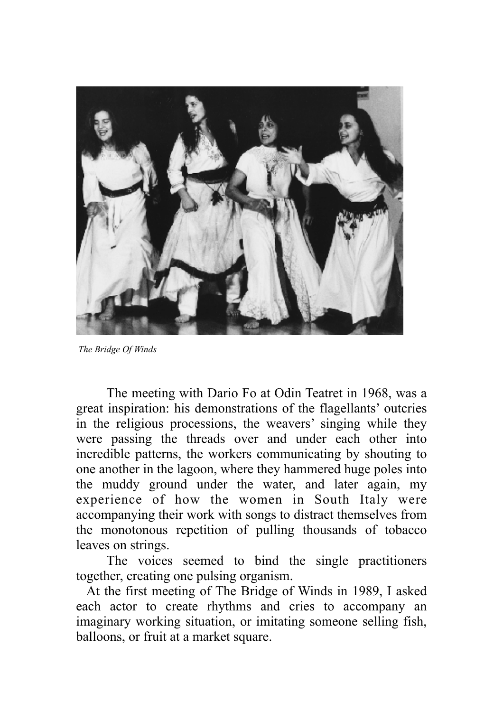

 *The Bridge Of Winds* 

The meeting with Dario Fo at Odin Teatret in 1968, was a great inspiration: his demonstrations of the flagellants' outcries in the religious processions, the weavers' singing while they were passing the threads over and under each other into incredible patterns, the workers communicating by shouting to one another in the lagoon, where they hammered huge poles into the muddy ground under the water, and later again, my experience of how the women in South Italy were accompanying their work with songs to distract themselves from the monotonous repetition of pulling thousands of tobacco leaves on strings.

The voices seemed to bind the single practitioners together, creating one pulsing organism.

At the first meeting of The Bridge of Winds in 1989, I asked each actor to create rhythms and cries to accompany an imaginary working situation, or imitating someone selling fish, balloons, or fruit at a market square.